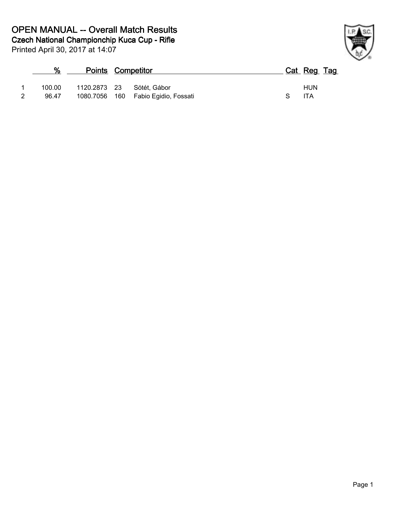**Czech National Championchip Kuca Cup - Rifle OPEN MANUAL -- Overall Match Results**

| ℅      | <b>Points Competitor</b> |                                     | Cat Reg Tag |            |
|--------|--------------------------|-------------------------------------|-------------|------------|
| 100.00 |                          | 1120.2873 23 Sötét, Gábor           |             | <b>HUN</b> |
| 96.47  |                          | 1080.7056 160 Fabio Egidio, Fossati |             | <b>ITA</b> |

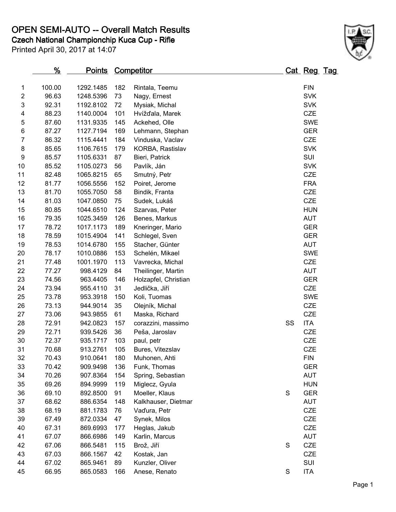**OPEN SEMI-AUTO -- Overall Match Results**

**Czech National Championchip Kuca Cup - Rifle**



|                | <u>%</u> | <u>Points</u> |     | <b>Competitor</b>    |             | <u>Cat Reg Tag</u> |  |
|----------------|----------|---------------|-----|----------------------|-------------|--------------------|--|
| 1              | 100.00   | 1292.1485     | 182 | Rintala, Teemu       |             | <b>FIN</b>         |  |
| $\overline{c}$ | 96.63    | 1248.5396     | 73  | Nagy, Ernest         |             | <b>SVK</b>         |  |
| 3              | 92.31    | 1192.8102     | 72  | Mysiak, Michal       |             | <b>SVK</b>         |  |
| 4              | 88.23    | 1140.0004     | 101 | Hvížďala, Marek      |             | <b>CZE</b>         |  |
| 5              | 87.60    | 1131.9335     | 145 | Ackehed, Olle        |             | <b>SWE</b>         |  |
| 6              | 87.27    | 1127.7194     | 169 | Lehmann, Stephan     |             | <b>GER</b>         |  |
| $\overline{7}$ | 86.32    | 1115.4441     | 184 | Vinduska, Vaclav     |             | <b>CZE</b>         |  |
| 8              | 85.65    | 1106.7615     | 179 | KORBA, Rastislav     |             | <b>SVK</b>         |  |
| 9              | 85.57    | 1105.6331     | 87  | Bieri, Patrick       |             | SUI                |  |
| 10             | 85.52    | 1105.0273     | 56  | Pavlík, Ján          |             | <b>SVK</b>         |  |
| 11             | 82.48    | 1065.8215     | 65  | Smutný, Petr         |             | <b>CZE</b>         |  |
| 12             | 81.77    | 1056.5556     | 152 | Poiret, Jerome       |             | <b>FRA</b>         |  |
| 13             | 81.70    | 1055.7050     | 58  | Bindik, Franta       |             | CZE                |  |
| 14             | 81.03    | 1047.0850     | 75  | Sudek, Lukáš         |             | <b>CZE</b>         |  |
| 15             | 80.85    | 1044.6510     | 124 | Szarvas, Peter       |             | <b>HUN</b>         |  |
| 16             | 79.35    | 1025.3459     | 126 | Benes, Markus        |             | <b>AUT</b>         |  |
| 17             | 78.72    | 1017.1173     | 189 | Kneringer, Mario     |             | <b>GER</b>         |  |
| 18             | 78.59    | 1015.4904     | 141 | Schlegel, Sven       |             | <b>GER</b>         |  |
| 19             | 78.53    | 1014.6780     | 155 | Stacher, Günter      |             | <b>AUT</b>         |  |
| 20             | 78.17    | 1010.0886     | 153 | Schelén, Mikael      |             | <b>SWE</b>         |  |
| 21             | 77.48    | 1001.1970     | 113 | Vavrecka, Michal     |             | <b>CZE</b>         |  |
| 22             | 77.27    | 998.4129      | 84  | Theilinger, Martin   |             | <b>AUT</b>         |  |
| 23             | 74.56    | 963.4405      | 146 | Holzapfel, Christian |             | <b>GER</b>         |  |
| 24             | 73.94    | 955.4110      | 31  | Jedlička, Jiří       |             | <b>CZE</b>         |  |
| 25             | 73.78    | 953.3918      | 150 | Koli, Tuomas         |             | <b>SWE</b>         |  |
| 26             | 73.13    | 944.9014      | 35  | Olejník, Michal      |             | CZE                |  |
| 27             | 73.06    | 943.9855      | 61  | Maska, Richard       |             | CZE                |  |
| 28             | 72.91    | 942.0823      | 157 | corazzini, massimo   | SS          | <b>ITA</b>         |  |
| 29             | 72.71    | 939.5426      | 36  | Peša, Jaroslav       |             | <b>CZE</b>         |  |
| 30             | 72.37    | 935.1717      | 103 | paul, petr           |             | <b>CZE</b>         |  |
| 31             | 70.68    | 913.2761      | 105 | Bures, Vitezslav     |             | CZE                |  |
| 32             | 70.43    | 910.0641      | 180 | Muhonen, Ahti        |             | <b>FIN</b>         |  |
| 33             | 70.42    | 909.9498      | 136 | Funk, Thomas         |             | <b>GER</b>         |  |
| 34             | 70.26    | 907.8364      | 154 | Spring, Sebastian    |             | <b>AUT</b>         |  |
| 35             | 69.26    | 894.9999      | 119 | Miglecz, Gyula       |             | <b>HUN</b>         |  |
| 36             | 69.10    | 892.8500      | 91  | Moeller, Klaus       | $\mathbf S$ | <b>GER</b>         |  |
| 37             | 68.62    | 886.6354      | 148 | Kalkhauser, Dietmar  |             | <b>AUT</b>         |  |
| 38             | 68.19    | 881.1783      | 76  | Vaďura, Petr         |             | CZE                |  |
| 39             | 67.49    | 872.0334      | 47  | Synek, Milos         |             | <b>CZE</b>         |  |
| 40             | 67.31    | 869.6993      | 177 | Heglas, Jakub        |             | <b>CZE</b>         |  |
| 41             | 67.07    | 866.6986      | 149 | Karlin, Marcus       |             | <b>AUT</b>         |  |
| 42             | 67.06    | 866.5481      | 115 | Brož, Jiří           | S           | CZE                |  |
| 43             | 67.03    | 866.1567      | 42  | Kostak, Jan          |             | <b>CZE</b>         |  |
| 44             | 67.02    | 865.9461      | 89  | Kunzler, Oliver      |             | SUI                |  |
| 45             | 66.95    | 865.0583      | 166 | Anese, Renato        | $\mathbf S$ | <b>ITA</b>         |  |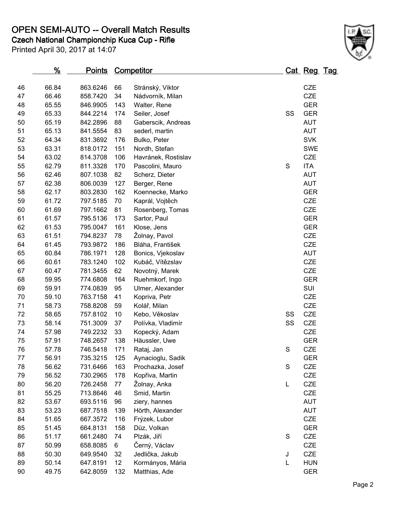## **OPEN SEMI-AUTO -- Overall Match Results**

**Czech National Championchip Kuca Cup - Rifle**



|       |                                                                                                                                                                            |                                                                                                                                                                                                                      | Klose, Jens                                                                                                  |                                                                                                                                                                                                                                                                                                                                                     |                     |                                                                                                                                                                                                                                                                                |
|-------|----------------------------------------------------------------------------------------------------------------------------------------------------------------------------|----------------------------------------------------------------------------------------------------------------------------------------------------------------------------------------------------------------------|--------------------------------------------------------------------------------------------------------------|-----------------------------------------------------------------------------------------------------------------------------------------------------------------------------------------------------------------------------------------------------------------------------------------------------------------------------------------------------|---------------------|--------------------------------------------------------------------------------------------------------------------------------------------------------------------------------------------------------------------------------------------------------------------------------|
|       | 794.8237                                                                                                                                                                   | 78                                                                                                                                                                                                                   |                                                                                                              |                                                                                                                                                                                                                                                                                                                                                     |                     |                                                                                                                                                                                                                                                                                |
| 61.45 | 793.9872                                                                                                                                                                   | 186                                                                                                                                                                                                                  | Bláha, František                                                                                             |                                                                                                                                                                                                                                                                                                                                                     |                     |                                                                                                                                                                                                                                                                                |
| 60.84 | 786.1971                                                                                                                                                                   | 128                                                                                                                                                                                                                  | Bonics, Vjekoslav                                                                                            |                                                                                                                                                                                                                                                                                                                                                     | <b>AUT</b>          |                                                                                                                                                                                                                                                                                |
| 60.61 |                                                                                                                                                                            | 102                                                                                                                                                                                                                  | Kubáč, Vítězslav                                                                                             |                                                                                                                                                                                                                                                                                                                                                     |                     |                                                                                                                                                                                                                                                                                |
| 60.47 | 781.3455                                                                                                                                                                   | 62                                                                                                                                                                                                                   | Novotný, Marek                                                                                               |                                                                                                                                                                                                                                                                                                                                                     | <b>CZE</b>          |                                                                                                                                                                                                                                                                                |
| 59.95 | 774.6808                                                                                                                                                                   | 164                                                                                                                                                                                                                  | Ruehmkorf, Ingo                                                                                              |                                                                                                                                                                                                                                                                                                                                                     | <b>GER</b>          |                                                                                                                                                                                                                                                                                |
| 59.91 | 774.0839                                                                                                                                                                   | 95                                                                                                                                                                                                                   | Ulmer, Alexander                                                                                             |                                                                                                                                                                                                                                                                                                                                                     | SUI                 |                                                                                                                                                                                                                                                                                |
| 59.10 | 763.7158                                                                                                                                                                   | 41                                                                                                                                                                                                                   | Kopriva, Petr                                                                                                |                                                                                                                                                                                                                                                                                                                                                     | CZE                 |                                                                                                                                                                                                                                                                                |
| 58.73 | 758.8208                                                                                                                                                                   | 59                                                                                                                                                                                                                   | Kolář, Milan                                                                                                 |                                                                                                                                                                                                                                                                                                                                                     | CZE                 |                                                                                                                                                                                                                                                                                |
| 58.65 | 757.8102                                                                                                                                                                   | 10                                                                                                                                                                                                                   | Kebo, Věkoslav                                                                                               | SS                                                                                                                                                                                                                                                                                                                                                  | <b>CZE</b>          |                                                                                                                                                                                                                                                                                |
| 58.14 | 751.3009                                                                                                                                                                   | 37                                                                                                                                                                                                                   | Polívka, Vladimír                                                                                            | SS                                                                                                                                                                                                                                                                                                                                                  | CZE                 |                                                                                                                                                                                                                                                                                |
| 57.98 | 749.2232                                                                                                                                                                   | 33                                                                                                                                                                                                                   | Kopecký, Adam                                                                                                |                                                                                                                                                                                                                                                                                                                                                     | <b>CZE</b>          |                                                                                                                                                                                                                                                                                |
| 57.91 | 748.2657                                                                                                                                                                   | 138                                                                                                                                                                                                                  | Häussler, Uwe                                                                                                |                                                                                                                                                                                                                                                                                                                                                     | <b>GER</b>          |                                                                                                                                                                                                                                                                                |
| 57.78 | 746.5418                                                                                                                                                                   | 171                                                                                                                                                                                                                  | Rataj, Jan                                                                                                   | $\mathbf S$                                                                                                                                                                                                                                                                                                                                         | CZE                 |                                                                                                                                                                                                                                                                                |
| 56.91 | 735.3215                                                                                                                                                                   | 125                                                                                                                                                                                                                  | Aynacioglu, Sadik                                                                                            |                                                                                                                                                                                                                                                                                                                                                     | <b>GER</b>          |                                                                                                                                                                                                                                                                                |
| 56.62 | 731.6466                                                                                                                                                                   | 163                                                                                                                                                                                                                  | Prochazka, Josef                                                                                             | ${\mathsf S}$                                                                                                                                                                                                                                                                                                                                       | CZE                 |                                                                                                                                                                                                                                                                                |
| 56.52 | 730.2965                                                                                                                                                                   | 178                                                                                                                                                                                                                  | Kopřiva, Martin                                                                                              |                                                                                                                                                                                                                                                                                                                                                     | CZE                 |                                                                                                                                                                                                                                                                                |
| 56.20 | 726.2458                                                                                                                                                                   | 77                                                                                                                                                                                                                   | Žolnay, Anka                                                                                                 | L                                                                                                                                                                                                                                                                                                                                                   | CZE                 |                                                                                                                                                                                                                                                                                |
| 55.25 | 713.8646                                                                                                                                                                   | 46                                                                                                                                                                                                                   | Smid, Martin                                                                                                 |                                                                                                                                                                                                                                                                                                                                                     | <b>CZE</b>          |                                                                                                                                                                                                                                                                                |
| 53.67 | 693.5116                                                                                                                                                                   | 96                                                                                                                                                                                                                   | ziery, hannes                                                                                                |                                                                                                                                                                                                                                                                                                                                                     | <b>AUT</b>          |                                                                                                                                                                                                                                                                                |
| 53.23 | 687.7518                                                                                                                                                                   | 139                                                                                                                                                                                                                  | Hörth, Alexander                                                                                             |                                                                                                                                                                                                                                                                                                                                                     | <b>AUT</b>          |                                                                                                                                                                                                                                                                                |
| 51.65 | 667.3572                                                                                                                                                                   | 116                                                                                                                                                                                                                  | Frýzek, Lubor                                                                                                |                                                                                                                                                                                                                                                                                                                                                     | <b>CZE</b>          |                                                                                                                                                                                                                                                                                |
| 51.45 | 664.8131                                                                                                                                                                   | 158                                                                                                                                                                                                                  | Düz, Volkan                                                                                                  |                                                                                                                                                                                                                                                                                                                                                     | <b>GER</b>          |                                                                                                                                                                                                                                                                                |
| 51.17 | 661.2480                                                                                                                                                                   | 74                                                                                                                                                                                                                   | Plzák, Jiří                                                                                                  | $\mathbf S$                                                                                                                                                                                                                                                                                                                                         | <b>CZE</b>          |                                                                                                                                                                                                                                                                                |
| 50.99 | 658.8085                                                                                                                                                                   | 6                                                                                                                                                                                                                    | Černý, Václav                                                                                                |                                                                                                                                                                                                                                                                                                                                                     | <b>CZE</b>          |                                                                                                                                                                                                                                                                                |
| 50.30 | 649.9540                                                                                                                                                                   | 32                                                                                                                                                                                                                   | Jedlička, Jakub                                                                                              | J                                                                                                                                                                                                                                                                                                                                                   | <b>CZE</b>          |                                                                                                                                                                                                                                                                                |
| 50.14 | 647.8191                                                                                                                                                                   | 12                                                                                                                                                                                                                   | Kormányos, Mária                                                                                             | L                                                                                                                                                                                                                                                                                                                                                   | <b>HUN</b>          |                                                                                                                                                                                                                                                                                |
| 49.75 | 642.8059                                                                                                                                                                   | 132                                                                                                                                                                                                                  | Matthias, Ade                                                                                                |                                                                                                                                                                                                                                                                                                                                                     | <b>GER</b>          |                                                                                                                                                                                                                                                                                |
|       | <u>%</u><br>66.84<br>66.46<br>65.55<br>65.33<br>65.19<br>65.13<br>64.34<br>63.31<br>63.02<br>62.79<br>62.46<br>62.38<br>62.17<br>61.72<br>61.69<br>61.57<br>61.53<br>61.51 | 863.6246<br>858.7420<br>846.9905<br>844.2214<br>842.2896<br>841.5554<br>831.3692<br>818.0172<br>814.3708<br>811.3328<br>807.1038<br>806.0039<br>803.2830<br>797.5185<br>797.1662<br>795.5136<br>795.0047<br>783.1240 | 66<br>34<br>143<br>174<br>88<br>83<br>176<br>151<br>106<br>170<br>82<br>127<br>162<br>70<br>81<br>173<br>161 | <b>Points Competitor</b><br>Stránský, Viktor<br>Nádvorník, Milan<br>Walter, Rene<br>Seiler, Josef<br>Gaberscik, Andreas<br>sederl, martin<br>Bulko, Peter<br>Nordh, Stefan<br>Havránek, Rostislav<br>Pascolini, Mauro<br>Scherz, Dieter<br>Berger, Rene<br>Koennecke, Marko<br>Kaprál, Vojtěch<br>Rosenberg, Tomas<br>Sartor, Paul<br>Žolnay, Pavol | SS<br>${\mathsf S}$ | Cat Reg Tag<br><b>CZE</b><br>CZE<br><b>GER</b><br><b>GER</b><br><b>AUT</b><br><b>AUT</b><br><b>SVK</b><br><b>SWE</b><br><b>CZE</b><br>ITA<br><b>AUT</b><br><b>AUT</b><br><b>GER</b><br><b>CZE</b><br><b>CZE</b><br><b>GER</b><br><b>GER</b><br><b>CZE</b><br><b>CZE</b><br>CZE |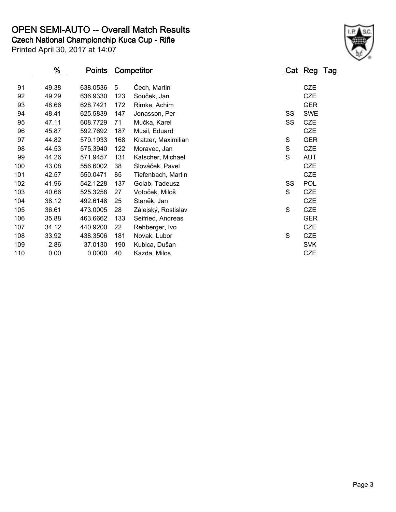## **OPEN SEMI-AUTO -- Overall Match Results**

**Czech National Championchip Kuca Cup - Rifle**



|     | <u>%</u> | <u>Points</u> |     | <b>Competitor</b>   |             | <u>Cat Reg Tag</u> |
|-----|----------|---------------|-----|---------------------|-------------|--------------------|
|     |          |               |     |                     |             |                    |
| 91  | 49.38    | 638.0536      | 5   | Čech, Martin        |             | <b>CZE</b>         |
| 92  | 49.29    | 636.9330      | 123 | Souček, Jan         |             | <b>CZE</b>         |
| 93  | 48.66    | 628.7421      | 172 | Rimke, Achim        |             | <b>GER</b>         |
| 94  | 48.41    | 625.5839      | 147 | Jonasson, Per       | SS          | <b>SWE</b>         |
| 95  | 47.11    | 608.7729      | 71  | Mučka, Karel        | SS          | <b>CZE</b>         |
| 96  | 45.87    | 592.7692      | 187 | Musil, Eduard       |             | <b>CZE</b>         |
| 97  | 44.82    | 579.1933      | 168 | Kratzer, Maximilian | S           | <b>GER</b>         |
| 98  | 44.53    | 575.3940      | 122 | Moravec, Jan        | $\mathsf S$ | <b>CZE</b>         |
| 99  | 44.26    | 571.9457      | 131 | Katscher, Michael   | S           | <b>AUT</b>         |
| 100 | 43.08    | 556.6002      | 38  | Slováček, Pavel     |             | <b>CZE</b>         |
| 101 | 42.57    | 550.0471      | 85  | Tiefenbach, Martin  |             | <b>CZE</b>         |
| 102 | 41.96    | 542.1228      | 137 | Golab, Tadeusz      | SS          | <b>POL</b>         |
| 103 | 40.66    | 525.3258      | 27  | Votoček, Miloš      | S           | <b>CZE</b>         |
| 104 | 38.12    | 492.6148      | 25  | Staněk, Jan         |             | <b>CZE</b>         |
| 105 | 36.61    | 473.0005      | 28  | Zálejský, Rostislav | S           | <b>CZE</b>         |
| 106 | 35.88    | 463.6662      | 133 | Seifried, Andreas   |             | <b>GER</b>         |
| 107 | 34.12    | 440.9200      | 22  | Rehberger, Ivo      |             | <b>CZE</b>         |
| 108 | 33.92    | 438.3506      | 181 | Novak, Lubor        | S           | <b>CZE</b>         |
| 109 | 2.86     | 37.0130       | 190 | Kubica, Dušan       |             | <b>SVK</b>         |
| 110 | 0.00     | 0.0000        | 40  | Kazda, Milos        |             | <b>CZE</b>         |
|     |          |               |     |                     |             |                    |